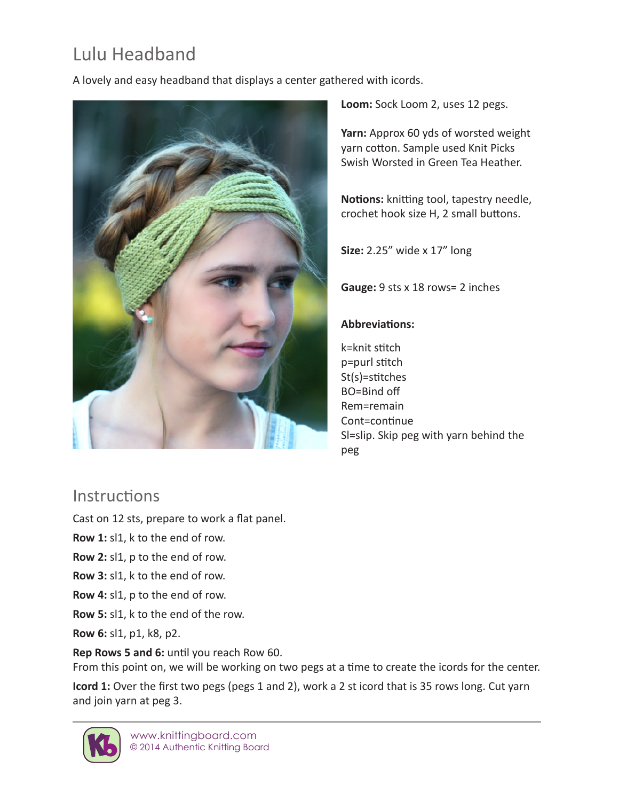# Lulu Headband

A lovely and easy headband that displays a center gathered with icords.



**Loom:** Sock Loom 2, uses 12 pegs.

**Yarn:** Approx 60 yds of worsted weight yarn cotton. Sample used Knit Picks Swish Worsted in Green Tea Heather.

**Notions:** knitting tool, tapestry needle, crochet hook size H, 2 small buttons.

**Size:** 2.25" wide x 17" long

**Gauge:** 9 sts x 18 rows= 2 inches

#### **Abbreviations:**

k=knit stitch p=purl stitch St(s)=stitches BO=Bind off Rem=remain Cont=continue Sl=slip. Skip peg with yarn behind the peg

# **Instructions**

Cast on 12 sts, prepare to work a flat panel.

**Row 1:** sl1, k to the end of row.

- **Row 2:** sl1, p to the end of row.
- **Row 3:** sl1, k to the end of row.
- **Row 4:** sl1, p to the end of row.
- **Row 5:** sl1, k to the end of the row.

**Row 6:** sl1, p1, k8, p2.

**Rep Rows 5 and 6:** until you reach Row 60.

From this point on, we will be working on two pegs at a time to create the icords for the center.

**Icord 1:** Over the first two pegs (pegs 1 and 2), work a 2 st icord that is 35 rows long. Cut yarn and join yarn at peg 3.